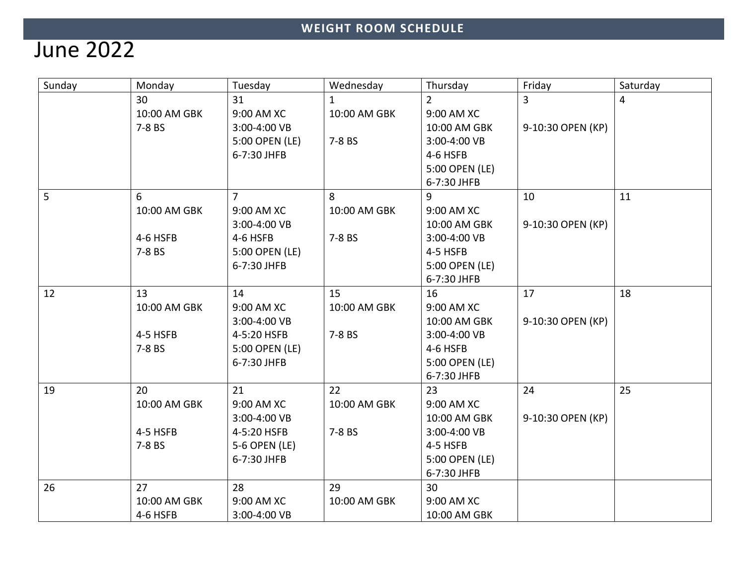## June 2022

| Sunday | Monday       | Tuesday                        | Wednesday    | Thursday                     | Friday            | Saturday |
|--------|--------------|--------------------------------|--------------|------------------------------|-------------------|----------|
|        | 30           | 31                             | $\mathbf{1}$ | $\overline{2}$               | 3                 | 4        |
|        | 10:00 AM GBK | 9:00 AM XC                     | 10:00 AM GBK | 9:00 AM XC                   |                   |          |
|        | 7-8 BS       | 3:00-4:00 VB<br>5:00 OPEN (LE) | 7-8 BS       | 10:00 AM GBK<br>3:00-4:00 VB | 9-10:30 OPEN (KP) |          |
|        |              | 6-7:30 JHFB                    |              | 4-6 HSFB                     |                   |          |
|        |              |                                |              | 5:00 OPEN (LE)               |                   |          |
|        |              |                                |              | 6-7:30 JHFB                  |                   |          |
| 5      | 6            | $\overline{7}$                 | 8            | 9                            | 10                | 11       |
|        | 10:00 AM GBK | 9:00 AM XC                     | 10:00 AM GBK | 9:00 AM XC                   |                   |          |
|        |              | 3:00-4:00 VB                   |              | 10:00 AM GBK                 | 9-10:30 OPEN (KP) |          |
|        | 4-6 HSFB     | 4-6 HSFB                       | 7-8 BS       | 3:00-4:00 VB                 |                   |          |
|        | 7-8 BS       | 5:00 OPEN (LE)                 |              | 4-5 HSFB                     |                   |          |
|        |              | 6-7:30 JHFB                    |              | 5:00 OPEN (LE)               |                   |          |
|        |              |                                |              | 6-7:30 JHFB                  |                   |          |
| 12     | 13           | 14                             | 15           | 16                           | 17                | 18       |
|        | 10:00 AM GBK | 9:00 AM XC                     | 10:00 AM GBK | 9:00 AM XC                   |                   |          |
|        |              | 3:00-4:00 VB                   |              | 10:00 AM GBK                 | 9-10:30 OPEN (KP) |          |
|        | 4-5 HSFB     | 4-5:20 HSFB                    | 7-8 BS       | 3:00-4:00 VB                 |                   |          |
|        | 7-8 BS       | 5:00 OPEN (LE)                 |              | 4-6 HSFB                     |                   |          |
|        |              | 6-7:30 JHFB                    |              | 5:00 OPEN (LE)               |                   |          |
|        |              |                                |              | 6-7:30 JHFB                  |                   |          |
| 19     | 20           | 21                             | 22           | 23                           | 24                | 25       |
|        | 10:00 AM GBK | 9:00 AM XC                     | 10:00 AM GBK | 9:00 AM XC                   |                   |          |
|        |              | 3:00-4:00 VB                   |              | 10:00 AM GBK                 | 9-10:30 OPEN (KP) |          |
|        | 4-5 HSFB     | 4-5:20 HSFB                    | 7-8 BS       | 3:00-4:00 VB                 |                   |          |
|        | 7-8 BS       | 5-6 OPEN (LE)                  |              | 4-5 HSFB                     |                   |          |
|        |              | 6-7:30 JHFB                    |              | 5:00 OPEN (LE)               |                   |          |
|        |              |                                |              | 6-7:30 JHFB                  |                   |          |
| 26     | 27           | 28                             | 29           | 30                           |                   |          |
|        | 10:00 AM GBK | 9:00 AM XC                     | 10:00 AM GBK | 9:00 AM XC                   |                   |          |
|        | 4-6 HSFB     | 3:00-4:00 VB                   |              | 10:00 AM GBK                 |                   |          |